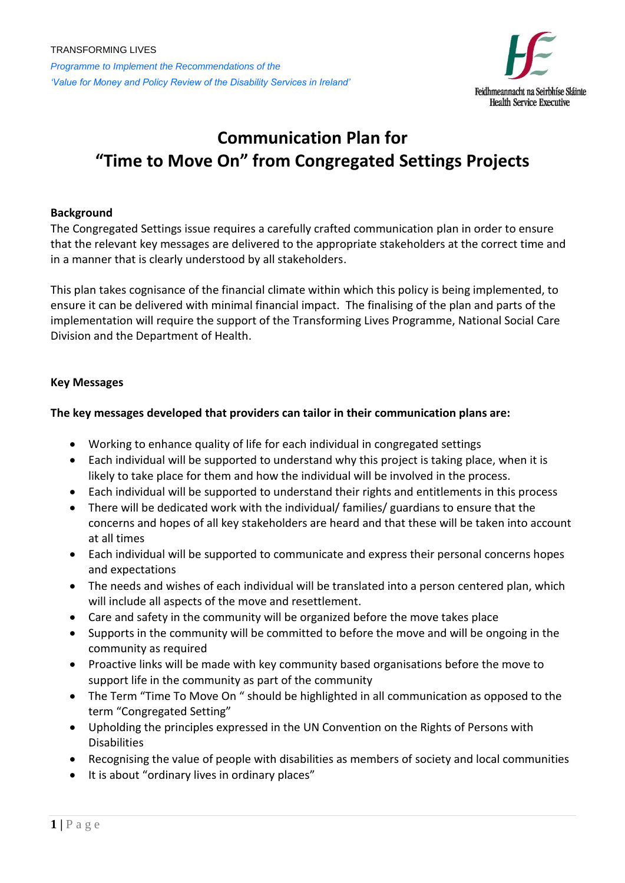

# **Communication Plan for "Time to Move On" from Congregated Settings Projects**

## **Background**

The Congregated Settings issue requires a carefully crafted communication plan in order to ensure that the relevant key messages are delivered to the appropriate stakeholders at the correct time and in a manner that is clearly understood by all stakeholders.

This plan takes cognisance of the financial climate within which this policy is being implemented, to ensure it can be delivered with minimal financial impact. The finalising of the plan and parts of the implementation will require the support of the Transforming Lives Programme, National Social Care Division and the Department of Health.

## **Key Messages**

## **The key messages developed that providers can tailor in their communication plans are:**

- Working to enhance quality of life for each individual in congregated settings
- Each individual will be supported to understand why this project is taking place, when it is likely to take place for them and how the individual will be involved in the process.
- Each individual will be supported to understand their rights and entitlements in this process
- There will be dedicated work with the individual/ families/ guardians to ensure that the concerns and hopes of all key stakeholders are heard and that these will be taken into account at all times
- Each individual will be supported to communicate and express their personal concerns hopes and expectations
- The needs and wishes of each individual will be translated into a person centered plan, which will include all aspects of the move and resettlement.
- Care and safety in the community will be organized before the move takes place
- Supports in the community will be committed to before the move and will be ongoing in the community as required
- Proactive links will be made with key community based organisations before the move to support life in the community as part of the community
- The Term "Time To Move On " should be highlighted in all communication as opposed to the term "Congregated Setting"
- Upholding the principles expressed in the UN Convention on the Rights of Persons with Disabilities
- Recognising the value of people with disabilities as members of society and local communities
- It is about "ordinary lives in ordinary places"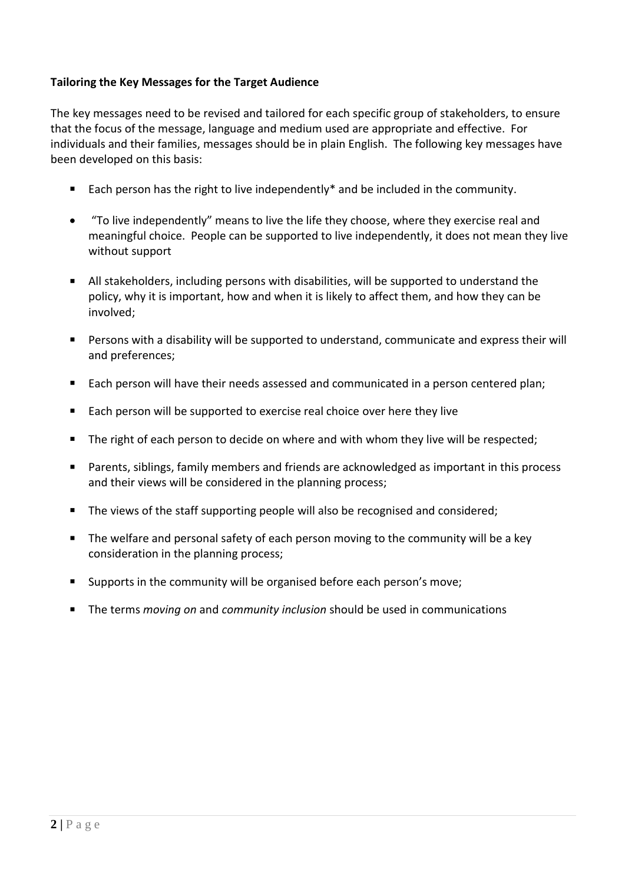# **Tailoring the Key Messages for the Target Audience**

The key messages need to be revised and tailored for each specific group of stakeholders, to ensure that the focus of the message, language and medium used are appropriate and effective. For individuals and their families, messages should be in plain English. The following key messages have been developed on this basis:

- Each person has the right to live independently\* and be included in the community.
- "To live independently" means to live the life they choose, where they exercise real and meaningful choice. People can be supported to live independently, it does not mean they live without support
- All stakeholders, including persons with disabilities, will be supported to understand the policy, why it is important, how and when it is likely to affect them, and how they can be involved;
- Persons with a disability will be supported to understand, communicate and express their will and preferences;
- Each person will have their needs assessed and communicated in a person centered plan;
- Each person will be supported to exercise real choice over here they live
- The right of each person to decide on where and with whom they live will be respected;
- Parents, siblings, family members and friends are acknowledged as important in this process and their views will be considered in the planning process;
- The views of the staff supporting people will also be recognised and considered;
- The welfare and personal safety of each person moving to the community will be a key consideration in the planning process;
- Supports in the community will be organised before each person's move;
- The terms *moving on* and *community inclusion* should be used in communications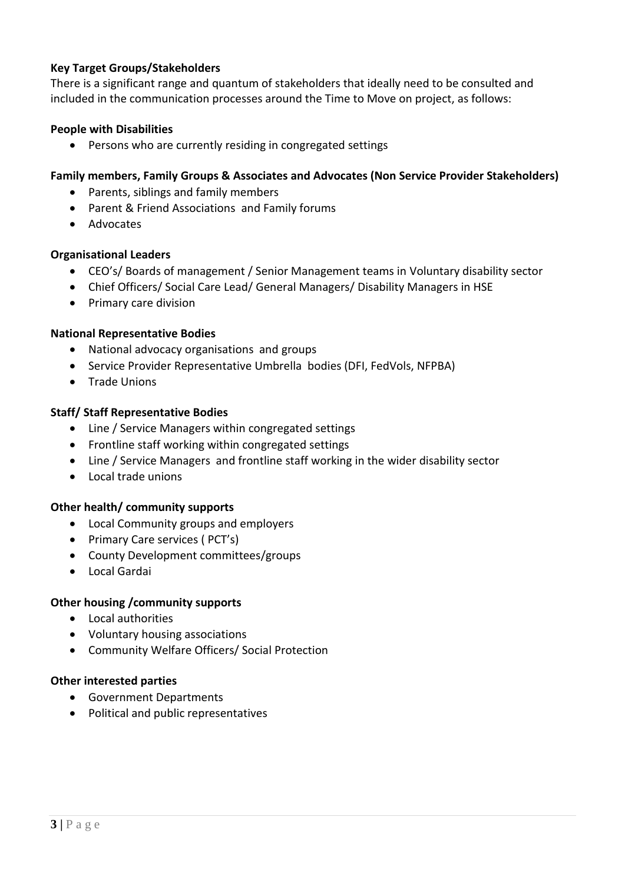# **Key Target Groups/Stakeholders**

There is a significant range and quantum of stakeholders that ideally need to be consulted and included in the communication processes around the Time to Move on project, as follows:

## **People with Disabilities**

Persons who are currently residing in congregated settings

## **Family members, Family Groups & Associates and Advocates (Non Service Provider Stakeholders)**

- Parents, siblings and family members
- Parent & Friend Associations and Family forums
- Advocates

## **Organisational Leaders**

- CEO's/ Boards of management / Senior Management teams in Voluntary disability sector
- Chief Officers/ Social Care Lead/ General Managers/ Disability Managers in HSE
- Primary care division

#### **National Representative Bodies**

- National advocacy organisations and groups
- Service Provider Representative Umbrella bodies (DFI, FedVols, NFPBA)
- Trade Unions

#### **Staff/ Staff Representative Bodies**

- Line / Service Managers within congregated settings
- Frontline staff working within congregated settings
- Line / Service Managers and frontline staff working in the wider disability sector
- Local trade unions

#### **Other health/ community supports**

- Local Community groups and employers
- Primary Care services (PCT's)
- County Development committees/groups
- Local Gardai

#### **Other housing /community supports**

- Local authorities
- Voluntary housing associations
- Community Welfare Officers/ Social Protection

#### **Other interested parties**

- Government Departments
- Political and public representatives